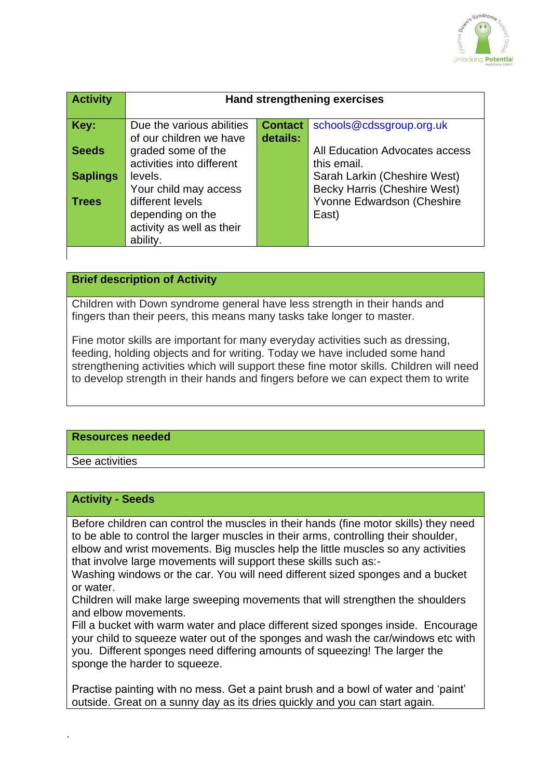

| <b>Activity</b> | <b>Hand strengthening exercises</b>                                           |                            |                                                                     |
|-----------------|-------------------------------------------------------------------------------|----------------------------|---------------------------------------------------------------------|
| Key:            | Due the various abilities<br>of our children we have                          | <b>Contact</b><br>details: | schools@cdssgroup.org.uk                                            |
| <b>Seeds</b>    | graded some of the<br>activities into different                               |                            | All Education Advocates access<br>this email.                       |
| <b>Saplings</b> | levels.<br>Your child may access                                              |                            | Sarah Larkin (Cheshire West)<br><b>Becky Harris (Cheshire West)</b> |
| <b>Trees</b>    | different levels<br>depending on the<br>activity as well as their<br>ability. |                            | Yvonne Edwardson (Cheshire<br>East)                                 |

## **Brief description of Activity**

Children with Down syndrome general have less strength in their hands and fingers than their peers, this means many tasks take longer to master.

Fine motor skills are important for many everyday activities such as dressing, feeding, holding objects and for writing. Today we have included some hand strengthening activities which will support these fine motor skills. Children will need to develop strength in their hands and fingers before we can expect them to write

#### **Resources needed**

See activities

`

#### **Activity - Seeds**

Before children can control the muscles in their hands (fine motor skills) they need to be able to control the larger muscles in their arms, controlling their shoulder, elbow and wrist movements. Big muscles help the little muscles so any activities that involve large movements will support these skills such as:-

Washing windows or the car. You will need different sized sponges and a bucket or water.

Children will make large sweeping movements that will strengthen the shoulders and elbow movements.

Fill a bucket with warm water and place different sized sponges inside. Encourage your child to squeeze water out of the sponges and wash the car/windows etc with you. Different sponges need differing amounts of squeezing! The larger the sponge the harder to squeeze.

Practise painting with no mess. Get a paint brush and a bowl of water and 'paint' outside. Great on a sunny day as its dries quickly and you can start again.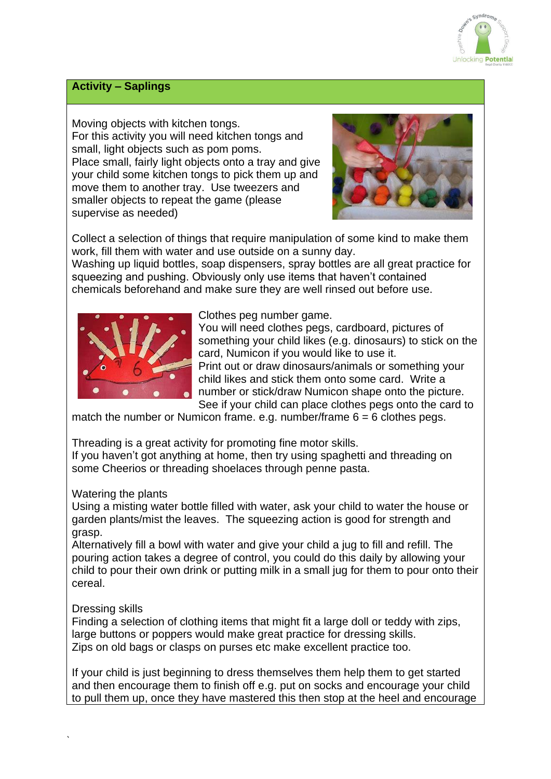

## **Activity – Saplings**

Moving objects with kitchen tongs. For this activity you will need kitchen tongs and small, light objects such as pom poms. Place small, fairly light objects onto a tray and give your child some kitchen tongs to pick them up and move them to another tray. Use tweezers and smaller objects to repeat the game (please supervise as needed)



Collect a selection of things that require manipulation of some kind to make them work, fill them with water and use outside on a sunny day.

Washing up liquid bottles, soap dispensers, spray bottles are all great practice for squeezing and pushing. Obviously only use items that haven't contained chemicals beforehand and make sure they are well rinsed out before use.



Clothes peg number game.

You will need clothes pegs, cardboard, pictures of something your child likes (e.g. dinosaurs) to stick on the card, Numicon if you would like to use it. Print out or draw dinosaurs/animals or something your child likes and stick them onto some card. Write a number or stick/draw Numicon shape onto the picture. See if your child can place clothes pegs onto the card to

match the number or Numicon frame. e.g. number/frame  $6 = 6$  clothes pegs.

Threading is a great activity for promoting fine motor skills. If you haven't got anything at home, then try using spaghetti and threading on some Cheerios or threading shoelaces through penne pasta.

### Watering the plants

Using a misting water bottle filled with water, ask your child to water the house or garden plants/mist the leaves. The squeezing action is good for strength and grasp.

Alternatively fill a bowl with water and give your child a jug to fill and refill. The pouring action takes a degree of control, you could do this daily by allowing your child to pour their own drink or putting milk in a small jug for them to pour onto their cereal.

# Dressing skills

Finding a selection of clothing items that might fit a large doll or teddy with zips, large buttons or poppers would make great practice for dressing skills. Zips on old bags or clasps on purses etc make excellent practice too.

If your child is just beginning to dress themselves them help them to get started and then encourage them to finish off e.g. put on socks and encourage your child to pull them up, once they have mastered this then stop at the heel and encourage